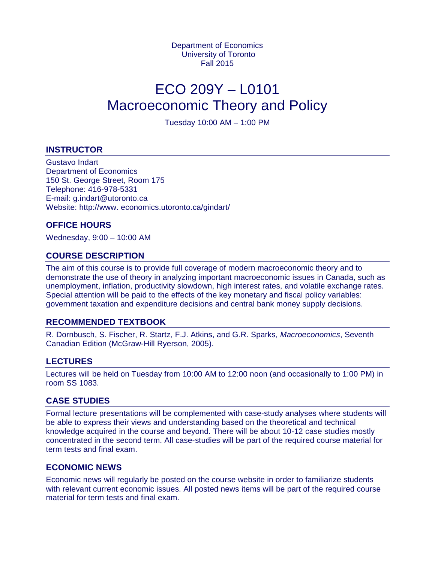Department of Economics University of Toronto Fall 2015

# ECO 209Y – L0101 Macroeconomic Theory and Policy

Tuesday 10:00 AM – 1:00 PM

## **INSTRUCTOR**

Gustavo Indart Department of Economics 150 St. George Street, Room 175 Telephone: 416-978-5331 E-mail: g.indart@utoronto.ca Website: http://www. economics.utoronto.ca/gindart/

## **OFFICE HOURS**

Wednesday, 9:00 – 10:00 AM

## **COURSE DESCRIPTION**

The aim of this course is to provide full coverage of modern macroeconomic theory and to demonstrate the use of theory in analyzing important macroeconomic issues in Canada, such as unemployment, inflation, productivity slowdown, high interest rates, and volatile exchange rates. Special attention will be paid to the effects of the key monetary and fiscal policy variables: government taxation and expenditure decisions and central bank money supply decisions.

## **RECOMMENDED TEXTBOOK**

R. Dornbusch, S. Fischer, R. Startz, F.J. Atkins, and G.R. Sparks, *Macroeconomics*, Seventh Canadian Edition (McGraw-Hill Ryerson, 2005).

#### **LECTURES**

Lectures will be held on Tuesday from 10:00 AM to 12:00 noon (and occasionally to 1:00 PM) in room SS 1083.

## **CASE STUDIES**

Formal lecture presentations will be complemented with case-study analyses where students will be able to express their views and understanding based on the theoretical and technical knowledge acquired in the course and beyond. There will be about 10-12 case studies mostly concentrated in the second term. All case-studies will be part of the required course material for term tests and final exam.

#### **ECONOMIC NEWS**

Economic news will regularly be posted on the course website in order to familiarize students with relevant current economic issues. All posted news items will be part of the required course material for term tests and final exam.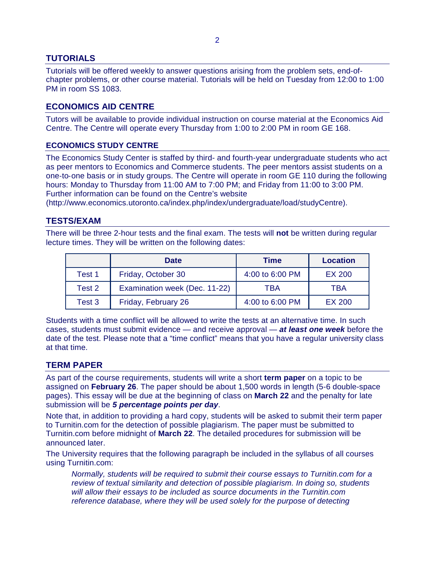# **TUTORIALS**

Tutorials will be offered weekly to answer questions arising from the problem sets, end-ofchapter problems, or other course material. Tutorials will be held on Tuesday from 12:00 to 1:00 PM in room SS 1083.

# **ECONOMICS AID CENTRE**

Tutors will be available to provide individual instruction on course material at the Economics Aid Centre. The Centre will operate every Thursday from 1:00 to 2:00 PM in room GE 168.

## **ECONOMICS STUDY CENTRE**

The Economics Study Center is staffed by third- and fourth-year undergraduate students who act as peer mentors to Economics and Commerce students. The peer mentors assist students on a one‐to‐one basis or in study groups. The Centre will operate in room GE 110 during the following hours: Monday to Thursday from 11:00 AM to 7:00 PM; and Friday from 11:00 to 3:00 PM. Further information can be found on the Centre's website

(http://www.economics.utoronto.ca/index.php/index/undergraduate/load/studyCentre).

## **TESTS/EXAM**

There will be three 2-hour tests and the final exam. The tests will **not** be written during regular lecture times. They will be written on the following dates:

|        | <b>Date</b>                   | <b>Time</b>     | <b>Location</b> |
|--------|-------------------------------|-----------------|-----------------|
| Test 1 | Friday, October 30            | 4:00 to 6:00 PM | <b>EX 200</b>   |
| Test 2 | Examination week (Dec. 11-22) | TRA             | TBA             |
| Test 3 | Friday, February 26           | 4:00 to 6:00 PM | EX 200          |

Students with a time conflict will be allowed to write the tests at an alternative time. In such cases, students must submit evidence — and receive approval — *at least one week* before the date of the test. Please note that a "time conflict" means that you have a regular university class at that time.

## **TERM PAPER**

As part of the course requirements, students will write a short **term paper** on a topic to be assigned on **February 26**. The paper should be about 1,500 words in length (5-6 double-space pages). This essay will be due at the beginning of class on **March 22** and the penalty for late submission will be *5 percentage points per day*.

Note that, in addition to providing a hard copy, students will be asked to submit their term paper to Turnitin.com for the detection of possible plagiarism. The paper must be submitted to Turnitin.com before midnight of **March 22**. The detailed procedures for submission will be announced later.

The University requires that the following paragraph be included in the syllabus of all courses using Turnitin.com:

*Normally, students will be required to submit their course essays to Turnitin.com for a review of textual similarity and detection of possible plagiarism. In doing so, students will allow their essays to be included as source documents in the Turnitin.com reference database, where they will be used solely for the purpose of detecting*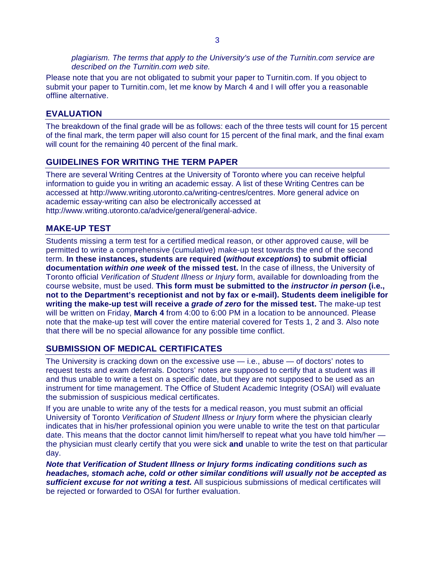*plagiarism. The terms that apply to the University's use of the Turnitin.com service are described on the Turnitin.com web site.*

Please note that you are not obligated to submit your paper to Turnitin.com. If you object to submit your paper to Turnitin.com, let me know by March 4 and I will offer you a reasonable offline alternative.

## **EVALUATION**

The breakdown of the final grade will be as follows: each of the three tests will count for 15 percent of the final mark, the term paper will also count for 15 percent of the final mark, and the final exam will count for the remaining 40 percent of the final mark.

#### **GUIDELINES FOR WRITING THE TERM PAPER**

There are several Writing Centres at the University of Toronto where you can receive helpful information to guide you in writing an academic essay. A list of these Writing Centres can be accessed at http://www.writing.utoronto.ca/writing-centres/centres. More general advice on academic essay-writing can also be electronically accessed at http://www.writing.utoronto.ca/advice/general/general-advice.

#### **MAKE-UP TEST**

Students missing a term test for a certified medical reason, or other approved cause, will be permitted to write a comprehensive (cumulative) make-up test towards the end of the second term. **In these instances, students are required (***without exceptions***) to submit official documentation** *within one week* **of the missed test.** In the case of illness, the University of Toronto official *Verification of Student Illness or Injury* form, available for downloading from the course website, must be used. **This form must be submitted to the** *instructor in person* **(i.e., not to the Department's receptionist and not by fax or e-mail). Students deem ineligible for writing the make-up test will receive a** *grade of zero* **for the missed test.** The make-up test will be written on Friday, **March 4** from 4:00 to 6:00 PM in a location to be announced. Please note that the make-up test will cover the entire material covered for Tests 1, 2 and 3. Also note that there will be no special allowance for any possible time conflict.

## **SUBMISSION OF MEDICAL CERTIFICATES**

The University is cracking down on the excessive use  $-$  i.e., abuse  $-$  of doctors' notes to request tests and exam deferrals. Doctors' notes are supposed to certify that a student was ill and thus unable to write a test on a specific date, but they are not supposed to be used as an instrument for time management. The Office of Student Academic Integrity (OSAI) will evaluate the submission of suspicious medical certificates.

If you are unable to write any of the tests for a medical reason, you must submit an official University of Toronto *Verification of Student Illness or Injury* form where the physician clearly indicates that in his/her professional opinion you were unable to write the test on that particular date. This means that the doctor cannot limit him/herself to repeat what you have told him/her the physician must clearly certify that you were sick **and** unable to write the test on that particular day.

*Note that Verification of Student Illness or Injury forms indicating conditions such as headaches, stomach ache, cold or other similar conditions will usually not be accepted as sufficient excuse for not writing a test.* All suspicious submissions of medical certificates will be rejected or forwarded to OSAI for further evaluation.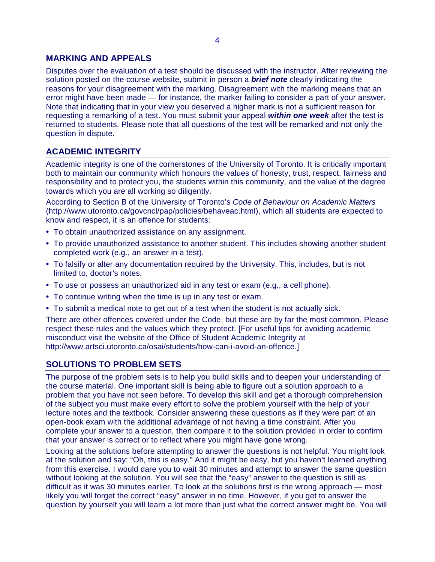# **MARKING AND APPEALS**

Disputes over the evaluation of a test should be discussed with the instructor. After reviewing the solution posted on the course website, submit in person a *brief note* clearly indicating the reasons for your disagreement with the marking. Disagreement with the marking means that an error might have been made — for instance, the marker failing to consider a part of your answer. Note that indicating that in your view you deserved a higher mark is not a sufficient reason for requesting a remarking of a test. You must submit your appeal *within one week* after the test is returned to students. Please note that all questions of the test will be remarked and not only the question in dispute.

# **ACADEMIC INTEGRITY**

Academic integrity is one of the cornerstones of the University of Toronto. It is critically important both to maintain our community which honours the values of honesty, trust, respect, fairness and responsibility and to protect you, the students within this community, and the value of the degree towards which you are all working so diligently.

According to Section B of the University of Toronto's *Code of Behaviour on Academic Matters*  (http://www.utoronto.ca/govcncl/pap/policies/behaveac.html), which all students are expected to know and respect, it is an offence for students:

- To obtain unauthorized assistance on any assignment.
- To provide unauthorized assistance to another student. This includes showing another student completed work (e.g., an answer in a test).
- To falsify or alter any documentation required by the University. This, includes, but is not limited to, doctor's notes.
- To use or possess an unauthorized aid in any test or exam (e.g., a cell phone).
- To continue writing when the time is up in any test or exam.
- To submit a medical note to get out of a test when the student is not actually sick.

There are other offences covered under the Code, but these are by far the most common. Please respect these rules and the values which they protect. [For useful tips for avoiding academic misconduct visit the website of the Office of Student Academic Integrity at http://www.artsci.utoronto.ca/osai/students/how-can-i-avoid-an-offence.]

# **SOLUTIONS TO PROBLEM SETS**

The purpose of the problem sets is to help you build skills and to deepen your understanding of the course material. One important skill is being able to figure out a solution approach to a problem that you have not seen before. To develop this skill and get a thorough comprehension of the subject you must make every effort to solve the problem yourself with the help of your lecture notes and the textbook. Consider answering these questions as if they were part of an open-book exam with the additional advantage of not having a time constraint. After you complete your answer to a question, then compare it to the solution provided in order to confirm that your answer is correct or to reflect where you might have gone wrong.

Looking at the solutions before attempting to answer the questions is not helpful. You might look at the solution and say: "Oh, this is easy." And it might be easy, but you haven't learned anything from this exercise. I would dare you to wait 30 minutes and attempt to answer the same question without looking at the solution. You will see that the "easy" answer to the question is still as difficult as it was 30 minutes earlier. To look at the solutions first is the wrong approach — most likely you will forget the correct "easy" answer in no time. However, if you get to answer the question by yourself you will learn a lot more than just what the correct answer might be. You will